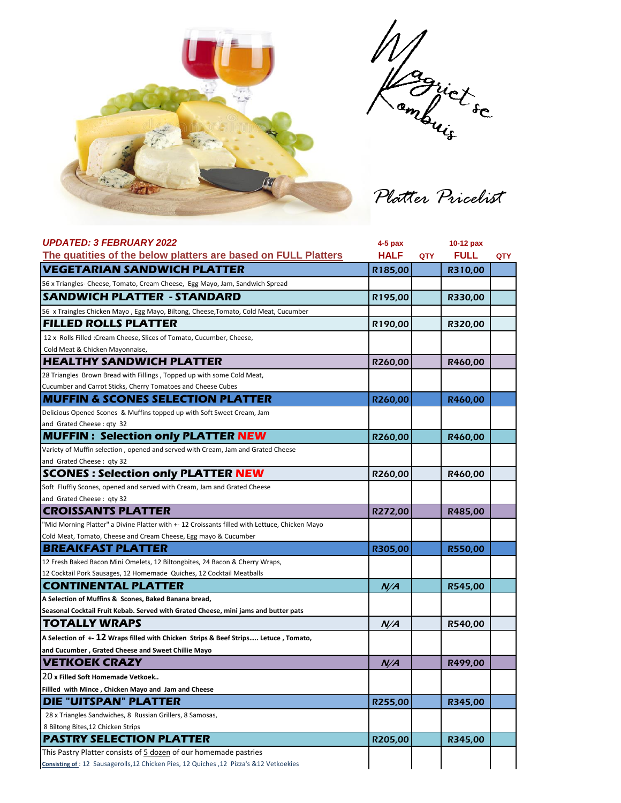

Magrict sc

*Platter Pricelist*

| <b>UPDATED: 3 FEBRUARY 2022</b>                                                                | $4-5$ pax   |            | 10-12 pax   |            |
|------------------------------------------------------------------------------------------------|-------------|------------|-------------|------------|
| The quatities of the below platters are based on FULL Platters                                 | <b>HALF</b> | <b>QTY</b> | <b>FULL</b> | <b>QTY</b> |
| <b>VEGETARIAN SANDWICH PLATTER</b>                                                             | R185,00     |            | R310,00     |            |
| 56 x Triangles- Cheese, Tomato, Cream Cheese, Egg Mayo, Jam, Sandwich Spread                   |             |            |             |            |
| <b>SANDWICH PLATTER - STANDARD</b>                                                             | R195,00     |            | R330,00     |            |
| 56 x Traingles Chicken Mayo, Egg Mayo, Biltong, Cheese, Tomato, Cold Meat, Cucumber            |             |            |             |            |
| <b>FILLED ROLLS PLATTER</b>                                                                    | R190,00     |            | R320,00     |            |
| 12 x Rolls Filled : Cream Cheese, Slices of Tomato, Cucumber, Cheese,                          |             |            |             |            |
| Cold Meat & Chicken Mayonnaise,                                                                |             |            |             |            |
| <b>HEALTHY SANDWICH PLATTER</b>                                                                | R260,00     |            | R460,00     |            |
| 28 Triangles Brown Bread with Fillings, Topped up with some Cold Meat,                         |             |            |             |            |
| Cucumber and Carrot Sticks, Cherry Tomatoes and Cheese Cubes                                   |             |            |             |            |
| <b>MUFFIN &amp; SCONES SELECTION PLATTER</b>                                                   | R260,00     |            | R460,00     |            |
| Delicious Opened Scones & Muffins topped up with Soft Sweet Cream, Jam                         |             |            |             |            |
| and Grated Cheese: qty 32                                                                      |             |            |             |            |
| <b>MUFFIN: Selection only PLATTER NEW</b>                                                      | R260,00     |            | R460,00     |            |
| Variety of Muffin selection, opened and served with Cream, Jam and Grated Cheese               |             |            |             |            |
| and Grated Cheese: qty 32                                                                      |             |            |             |            |
| <b>SCONES: Selection only PLATTER NEW</b>                                                      | R260,00     |            | R460,00     |            |
| Soft Fluffly Scones, opened and served with Cream, Jam and Grated Cheese                       |             |            |             |            |
| and Grated Cheese: qty 32                                                                      |             |            |             |            |
| <b>CROISSANTS PLATTER</b>                                                                      | R272,00     |            | R485,00     |            |
| "Mid Morning Platter" a Divine Platter with +- 12 Croissants filled with Lettuce, Chicken Mayo |             |            |             |            |
| Cold Meat, Tomato, Cheese and Cream Cheese, Egg mayo & Cucumber                                |             |            |             |            |
| <b>BREAKFAST PLATTER</b>                                                                       | R305,00     |            | R550,00     |            |
| 12 Fresh Baked Bacon Mini Omelets, 12 Biltongbites, 24 Bacon & Cherry Wraps,                   |             |            |             |            |
| 12 Cocktail Pork Sausages, 12 Homemade Quiches, 12 Cocktail Meatballs                          |             |            |             |            |
| <b>CONTINENTAL PLATTER</b>                                                                     | N/A         |            | R545,00     |            |
| A Selection of Muffins & Scones, Baked Banana bread,                                           |             |            |             |            |
| Seasonal Cocktail Fruit Kebab. Served with Grated Cheese, mini jams and butter pats            |             |            |             |            |
| <b>TOTALLY WRAPS</b>                                                                           | N/A         |            | R540,00     |            |
| A Selection of +- 12 Wraps filled with Chicken Strips & Beef Strips Letuce, Tomato,            |             |            |             |            |
| and Cucumber, Grated Cheese and Sweet Chillie Mayo                                             |             |            |             |            |
| <b>VETKOEK CRAZY</b>                                                                           | N/A         |            | R499.00     |            |
| 20 x Filled Soft Homemade Vetkoek                                                              |             |            |             |            |
| Fillled with Mince, Chicken Mayo and Jam and Cheese                                            |             |            |             |            |
| DIE "UITSPAN" PLATTER                                                                          | R255,00     |            | R345,00     |            |
| 28 x Triangles Sandwiches, 8 Russian Grillers, 8 Samosas,                                      |             |            |             |            |
| 8 Biltong Bites, 12 Chicken Strips                                                             |             |            |             |            |
| <b>PASTRY SELECTION PLATTER</b>                                                                | R205,00     |            | R345,00     |            |
| This Pastry Platter consists of 5 dozen of our homemade pastries                               |             |            |             |            |
| Consisting of: 12 Sausagerolls, 12 Chicken Pies, 12 Quiches, 12 Pizza's & 12 Vetkoekies        |             |            |             |            |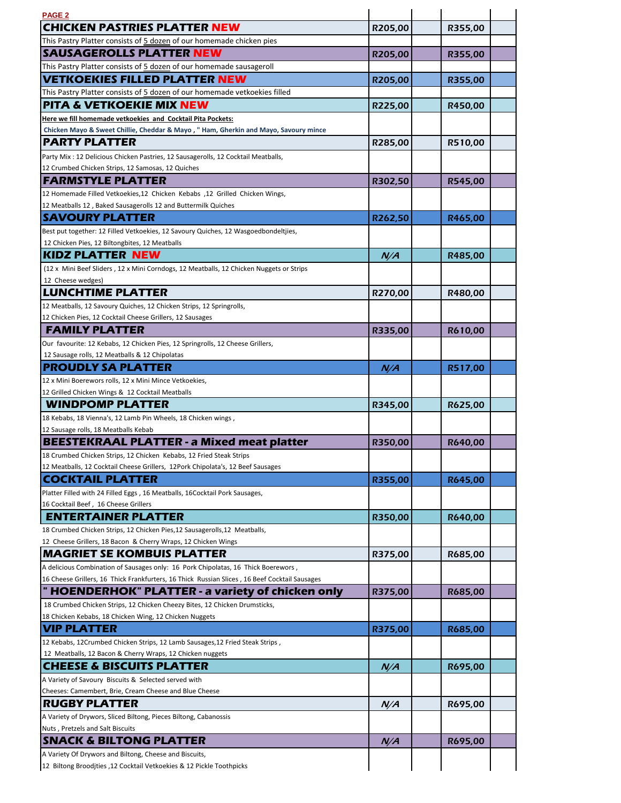| PAGE <sub>2</sub>                                                                                                                                                                  |         |         |  |
|------------------------------------------------------------------------------------------------------------------------------------------------------------------------------------|---------|---------|--|
| <b>CHICKEN PASTRIES PLATTER NEW</b>                                                                                                                                                | R205,00 | R355,00 |  |
| This Pastry Platter consists of 5 dozen of our homemade chicken pies                                                                                                               |         |         |  |
| <b>SAUSAGEROLLS PLATTER NEW</b>                                                                                                                                                    | R205,00 | R355,00 |  |
| This Pastry Platter consists of 5 dozen of our homemade sausageroll                                                                                                                |         |         |  |
| <b>VETKOEKIES FILLED PLATTER NEW</b>                                                                                                                                               | R205,00 | R355,00 |  |
| This Pastry Platter consists of 5 dozen of our homemade vetkoekies filled                                                                                                          |         |         |  |
| <b>PITA &amp; VETKOEKIE MIX NEW</b>                                                                                                                                                | R225,00 | R450,00 |  |
| Here we fill homemade vetkoekies and Cocktail Pita Pockets:                                                                                                                        |         |         |  |
| Chicken Mayo & Sweet Chillie, Cheddar & Mayo, "Ham, Gherkin and Mayo, Savoury mince                                                                                                |         |         |  |
| <b>PARTY PLATTER</b>                                                                                                                                                               | R285,00 | R510,00 |  |
| Party Mix: 12 Delicious Chicken Pastries, 12 Sausagerolls, 12 Cocktail Meatballs,                                                                                                  |         |         |  |
| 12 Crumbed Chicken Strips, 12 Samosas, 12 Quiches                                                                                                                                  |         |         |  |
| <b>FARMSTYLE PLATTER</b>                                                                                                                                                           | R302,50 | R545,00 |  |
| 12 Homemade Filled Vetkoekies, 12 Chicken Kebabs, 12 Grilled Chicken Wings,                                                                                                        |         |         |  |
| 12 Meatballs 12, Baked Sausagerolls 12 and Buttermilk Quiches                                                                                                                      |         |         |  |
| <b>SAVOURY PLATTER</b>                                                                                                                                                             | R262,50 | R465,00 |  |
| Best put together: 12 Filled Vetkoekies, 12 Savoury Quiches, 12 Wasgoedbondeltjies,                                                                                                |         |         |  |
| 12 Chicken Pies, 12 Biltongbites, 12 Meatballs                                                                                                                                     |         |         |  |
| <b>KIDZ PLATTER NEW</b>                                                                                                                                                            | N/A     | R485,00 |  |
| (12 x Mini Beef Sliders, 12 x Mini Corndogs, 12 Meatballs, 12 Chicken Nuggets or Strips                                                                                            |         |         |  |
| 12 Cheese wedges)                                                                                                                                                                  |         |         |  |
| <b>LUNCHTIME PLATTER</b>                                                                                                                                                           | R270,00 | R480,00 |  |
| 12 Meatballs, 12 Savoury Quiches, 12 Chicken Strips, 12 Springrolls,                                                                                                               |         |         |  |
| 12 Chicken Pies, 12 Cocktail Cheese Grillers, 12 Sausages                                                                                                                          |         |         |  |
| <b>FAMILY PLATTER</b>                                                                                                                                                              | R335,00 | R610,00 |  |
| Our favourite: 12 Kebabs, 12 Chicken Pies, 12 Springrolls, 12 Cheese Grillers,                                                                                                     |         |         |  |
| 12 Sausage rolls, 12 Meatballs & 12 Chipolatas                                                                                                                                     |         |         |  |
| <b>PROUDLY SA PLATTER</b>                                                                                                                                                          | N/A     | R517,00 |  |
| 12 x Mini Boerewors rolls, 12 x Mini Mince Vetkoekies,                                                                                                                             |         |         |  |
| 12 Grilled Chicken Wings & 12 Cocktail Meatballs<br><b>WINDPOMP PLATTER</b>                                                                                                        |         |         |  |
|                                                                                                                                                                                    | R345,00 | R625,00 |  |
| 18 Kebabs, 18 Vienna's, 12 Lamb Pin Wheels, 18 Chicken wings,<br>12 Sausage rolls, 18 Meatballs Kebab                                                                              |         |         |  |
|                                                                                                                                                                                    |         |         |  |
|                                                                                                                                                                                    |         |         |  |
| <b>BEESTEKRAAL PLATTER - a Mixed meat platter</b>                                                                                                                                  | R350,00 | R640,00 |  |
| 18 Crumbed Chicken Strips, 12 Chicken Kebabs, 12 Fried Steak Strips                                                                                                                |         |         |  |
| 12 Meatballs, 12 Cocktail Cheese Grillers, 12Pork Chipolata's, 12 Beef Sausages                                                                                                    |         |         |  |
| <b>COCKTAIL PLATTER</b>                                                                                                                                                            | R355,00 | R645,00 |  |
| Platter Filled with 24 Filled Eggs, 16 Meatballs, 16Cocktail Pork Sausages,                                                                                                        |         |         |  |
| 16 Cocktail Beef, 16 Cheese Grillers                                                                                                                                               |         |         |  |
| <b>ENTERTAINER PLATTER</b>                                                                                                                                                         | R350,00 | R640,00 |  |
| 18 Crumbed Chicken Strips, 12 Chicken Pies, 12 Sausagerolls, 12 Meatballs,                                                                                                         |         |         |  |
| 12 Cheese Grillers, 18 Bacon & Cherry Wraps, 12 Chicken Wings                                                                                                                      |         |         |  |
| <b>MAGRIET SE KOMBUIS PLATTER</b>                                                                                                                                                  | R375,00 | R685,00 |  |
| A delicious Combination of Sausages only: 16 Pork Chipolatas, 16 Thick Boerewors,<br>16 Cheese Grillers, 16 Thick Frankfurters, 16 Thick Russian Slices, 16 Beef Cocktail Sausages |         |         |  |
|                                                                                                                                                                                    |         |         |  |
| <b>HOENDERHOK" PLATTER - a variety of chicken only</b><br>18 Crumbed Chicken Strips, 12 Chicken Cheezy Bites, 12 Chicken Drumsticks,                                               | R375,00 | R685,00 |  |
| 18 Chicken Kebabs, 18 Chicken Wing, 12 Chicken Nuggets                                                                                                                             |         |         |  |
| <b>VIP PLATTER</b>                                                                                                                                                                 |         |         |  |
| 12 Kebabs, 12Crumbed Chicken Strips, 12 Lamb Sausages, 12 Fried Steak Strips,                                                                                                      | R375,00 | R685,00 |  |
| 12 Meatballs, 12 Bacon & Cherry Wraps, 12 Chicken nuggets                                                                                                                          |         |         |  |
| <b>CHEESE &amp; BISCUITS PLATTER</b>                                                                                                                                               | N/A     | R695,00 |  |
| A Variety of Savoury Biscuits & Selected served with                                                                                                                               |         |         |  |
| Cheeses: Camembert, Brie, Cream Cheese and Blue Cheese                                                                                                                             |         |         |  |
| <b>RUGBY PLATTER</b>                                                                                                                                                               | N/A     | R695,00 |  |
| A Variety of Drywors, Sliced Biltong, Pieces Biltong, Cabanossis                                                                                                                   |         |         |  |
| Nuts, Pretzels and Salt Biscuits                                                                                                                                                   |         |         |  |
| <b>SNACK &amp; BILTONG PLATTER</b>                                                                                                                                                 | N/A     | R695,00 |  |
| A Variety Of Drywors and Biltong, Cheese and Biscuits,                                                                                                                             |         |         |  |